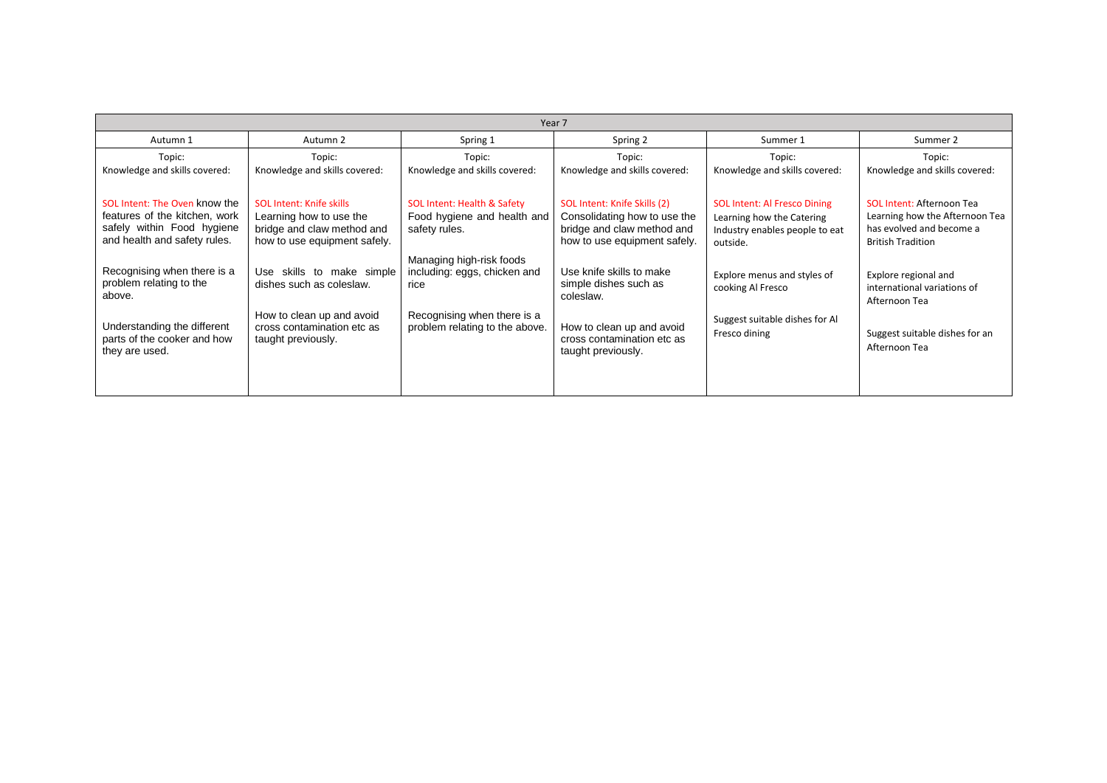| Year 7                                                                                                                                           |                                                                                                                                        |                                                                                                                                   |                                                                                                                                                 |                                                                                                                |                                                                                                                            |  |  |  |
|--------------------------------------------------------------------------------------------------------------------------------------------------|----------------------------------------------------------------------------------------------------------------------------------------|-----------------------------------------------------------------------------------------------------------------------------------|-------------------------------------------------------------------------------------------------------------------------------------------------|----------------------------------------------------------------------------------------------------------------|----------------------------------------------------------------------------------------------------------------------------|--|--|--|
| Autumn 1                                                                                                                                         | Autumn 2                                                                                                                               | Spring 1                                                                                                                          | Spring 2                                                                                                                                        | Summer 1                                                                                                       | Summer 2                                                                                                                   |  |  |  |
| Topic:<br>Knowledge and skills covered:                                                                                                          | Topic:<br>Knowledge and skills covered:                                                                                                | Topic:<br>Knowledge and skills covered:                                                                                           | Topic:<br>Knowledge and skills covered:                                                                                                         | Topic:<br>Knowledge and skills covered:                                                                        | Topic:<br>Knowledge and skills covered:                                                                                    |  |  |  |
| SOL Intent: The Oven know the<br>features of the kitchen, work<br>safely within Food hygiene<br>and health and safety rules.                     | <b>SOL Intent: Knife skills</b><br>Learning how to use the<br>bridge and claw method and<br>how to use equipment safely.               | SOL Intent: Health & Safety<br>Food hygiene and health and<br>safety rules.                                                       | SOL Intent: Knife Skills (2)<br>Consolidating how to use the<br>bridge and claw method and<br>how to use equipment safely.                      | <b>SOL Intent: Al Fresco Dining</b><br>Learning how the Catering<br>Industry enables people to eat<br>outside. | <b>SOL Intent: Afternoon Tea</b><br>Learning how the Afternoon Tea<br>has evolved and become a<br><b>British Tradition</b> |  |  |  |
| Recognising when there is a<br>problem relating to the<br>above.<br>Understanding the different<br>parts of the cooker and how<br>they are used. | Use skills to make simple<br>dishes such as coleslaw.<br>How to clean up and avoid<br>cross contamination etc as<br>taught previously. | Managing high-risk foods<br>including: eggs, chicken and<br>rice<br>Recognising when there is a<br>problem relating to the above. | Use knife skills to make<br>simple dishes such as<br>coleslaw.<br>How to clean up and avoid<br>cross contamination etc as<br>taught previously. | Explore menus and styles of<br>cooking Al Fresco<br>Suggest suitable dishes for Al<br>Fresco dining            | Explore regional and<br>international variations of<br>Afternoon Tea<br>Suggest suitable dishes for an<br>Afternoon Tea    |  |  |  |
|                                                                                                                                                  |                                                                                                                                        |                                                                                                                                   |                                                                                                                                                 |                                                                                                                |                                                                                                                            |  |  |  |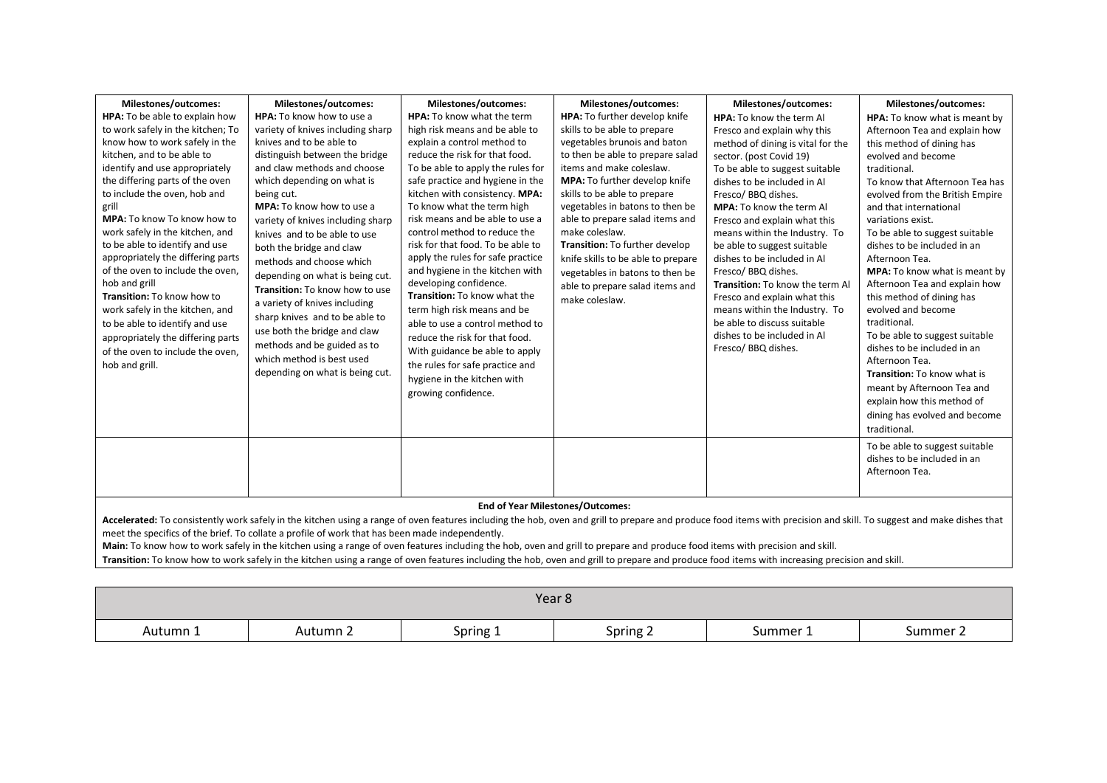| Milestones/outcomes:<br>HPA: To be able to explain how<br>to work safely in the kitchen; To<br>know how to work safely in the<br>kitchen, and to be able to<br>identify and use appropriately<br>the differing parts of the oven<br>to include the oven, hob and<br>grill<br>MPA: To know To know how to<br>work safely in the kitchen, and<br>to be able to identify and use<br>appropriately the differing parts<br>of the oven to include the oven,<br>hob and grill<br>Transition: To know how to<br>work safely in the kitchen, and<br>to be able to identify and use<br>appropriately the differing parts<br>of the oven to include the oven,<br>hob and grill. | Milestones/outcomes:<br>HPA: To know how to use a<br>variety of knives including sharp<br>knives and to be able to<br>distinguish between the bridge<br>and claw methods and choose<br>which depending on what is<br>being cut.<br><b>MPA:</b> To know how to use a<br>variety of knives including sharp<br>knives and to be able to use<br>both the bridge and claw<br>methods and choose which<br>depending on what is being cut.<br>Transition: To know how to use<br>a variety of knives including<br>sharp knives and to be able to<br>use both the bridge and claw<br>methods and be guided as to<br>which method is best used<br>depending on what is being cut. | Milestones/outcomes:<br><b>HPA:</b> To know what the term<br>high risk means and be able to<br>explain a control method to<br>reduce the risk for that food.<br>To be able to apply the rules for<br>safe practice and hygiene in the<br>kitchen with consistency. MPA:<br>To know what the term high<br>risk means and be able to use a<br>control method to reduce the<br>risk for that food. To be able to<br>apply the rules for safe practice<br>and hygiene in the kitchen with<br>developing confidence.<br>Transition: To know what the<br>term high risk means and be<br>able to use a control method to<br>reduce the risk for that food.<br>With guidance be able to apply<br>the rules for safe practice and<br>hygiene in the kitchen with<br>growing confidence. | Milestones/outcomes:<br>HPA: To further develop knife<br>skills to be able to prepare<br>vegetables brunois and baton<br>to then be able to prepare salad<br>items and make coleslaw.<br>MPA: To further develop knife<br>skills to be able to prepare<br>vegetables in batons to then be<br>able to prepare salad items and<br>make coleslaw.<br>Transition: To further develop<br>knife skills to be able to prepare<br>vegetables in batons to then be<br>able to prepare salad items and<br>make coleslaw. | Milestones/outcomes:<br>HPA: To know the term Al<br>Fresco and explain why this<br>method of dining is vital for the<br>sector. (post Covid 19)<br>To be able to suggest suitable<br>dishes to be included in Al<br>Fresco/ BBQ dishes.<br><b>MPA:</b> To know the term Al<br>Fresco and explain what this<br>means within the Industry. To<br>be able to suggest suitable<br>dishes to be included in Al<br>Fresco/ BBQ dishes.<br>Transition: To know the term Al<br>Fresco and explain what this<br>means within the Industry. To<br>be able to discuss suitable<br>dishes to be included in Al<br>Fresco/ BBQ dishes. | Milestones/outcomes:<br>HPA: To know what is meant by<br>Afternoon Tea and explain how<br>this method of dining has<br>evolved and become<br>traditional.<br>To know that Afternoon Tea has<br>evolved from the British Empire<br>and that international<br>variations exist.<br>To be able to suggest suitable<br>dishes to be included in an<br>Afternoon Tea.<br><b>MPA:</b> To know what is meant by<br>Afternoon Tea and explain how<br>this method of dining has<br>evolved and become<br>traditional.<br>To be able to suggest suitable<br>dishes to be included in an<br>Afternoon Tea.<br><b>Transition:</b> To know what is<br>meant by Afternoon Tea and<br>explain how this method of<br>dining has evolved and become<br>traditional.<br>To be able to suggest suitable<br>dishes to be included in an<br>Afternoon Tea. |  |  |  |  |
|-----------------------------------------------------------------------------------------------------------------------------------------------------------------------------------------------------------------------------------------------------------------------------------------------------------------------------------------------------------------------------------------------------------------------------------------------------------------------------------------------------------------------------------------------------------------------------------------------------------------------------------------------------------------------|-------------------------------------------------------------------------------------------------------------------------------------------------------------------------------------------------------------------------------------------------------------------------------------------------------------------------------------------------------------------------------------------------------------------------------------------------------------------------------------------------------------------------------------------------------------------------------------------------------------------------------------------------------------------------|--------------------------------------------------------------------------------------------------------------------------------------------------------------------------------------------------------------------------------------------------------------------------------------------------------------------------------------------------------------------------------------------------------------------------------------------------------------------------------------------------------------------------------------------------------------------------------------------------------------------------------------------------------------------------------------------------------------------------------------------------------------------------------|----------------------------------------------------------------------------------------------------------------------------------------------------------------------------------------------------------------------------------------------------------------------------------------------------------------------------------------------------------------------------------------------------------------------------------------------------------------------------------------------------------------|---------------------------------------------------------------------------------------------------------------------------------------------------------------------------------------------------------------------------------------------------------------------------------------------------------------------------------------------------------------------------------------------------------------------------------------------------------------------------------------------------------------------------------------------------------------------------------------------------------------------------|---------------------------------------------------------------------------------------------------------------------------------------------------------------------------------------------------------------------------------------------------------------------------------------------------------------------------------------------------------------------------------------------------------------------------------------------------------------------------------------------------------------------------------------------------------------------------------------------------------------------------------------------------------------------------------------------------------------------------------------------------------------------------------------------------------------------------------------|--|--|--|--|
|                                                                                                                                                                                                                                                                                                                                                                                                                                                                                                                                                                                                                                                                       | <b>End of Year Milestones/Outcomes:</b>                                                                                                                                                                                                                                                                                                                                                                                                                                                                                                                                                                                                                                 |                                                                                                                                                                                                                                                                                                                                                                                                                                                                                                                                                                                                                                                                                                                                                                                |                                                                                                                                                                                                                                                                                                                                                                                                                                                                                                                |                                                                                                                                                                                                                                                                                                                                                                                                                                                                                                                                                                                                                           |                                                                                                                                                                                                                                                                                                                                                                                                                                                                                                                                                                                                                                                                                                                                                                                                                                       |  |  |  |  |
|                                                                                                                                                                                                                                                                                                                                                                                                                                                                                                                                                                                                                                                                       |                                                                                                                                                                                                                                                                                                                                                                                                                                                                                                                                                                                                                                                                         |                                                                                                                                                                                                                                                                                                                                                                                                                                                                                                                                                                                                                                                                                                                                                                                | Accelerated: To consistently work safely in the kitchen using a range of oven features including the hob, oven and grill to prepare and produce food items with precision and skill. To suggest and make dishes that                                                                                                                                                                                                                                                                                           |                                                                                                                                                                                                                                                                                                                                                                                                                                                                                                                                                                                                                           |                                                                                                                                                                                                                                                                                                                                                                                                                                                                                                                                                                                                                                                                                                                                                                                                                                       |  |  |  |  |

**Accelerated:** To consistently work safely in the kitchen using a range of oven features including the hob, oven and grill to prepare and produce food items with precision and skill. To suggest and make dishes that meet the specifics of the brief. To collate a profile of work that has been made independently.

**Main:** To know how to work safely in the kitchen using a range of oven features including the hob, oven and grill to prepare and produce food items with precision and skill.

**Transition:** To know how to work safely in the kitchen using a range of oven features including the hob, oven and grill to prepare and produce food items with increasing precision and skill.

|          |          |          | Year <sub>8</sub> |          |          |
|----------|----------|----------|-------------------|----------|----------|
| Autumn 1 | Autumn 2 | Spring 1 | Spring 2          | Summer 1 | Summer 2 |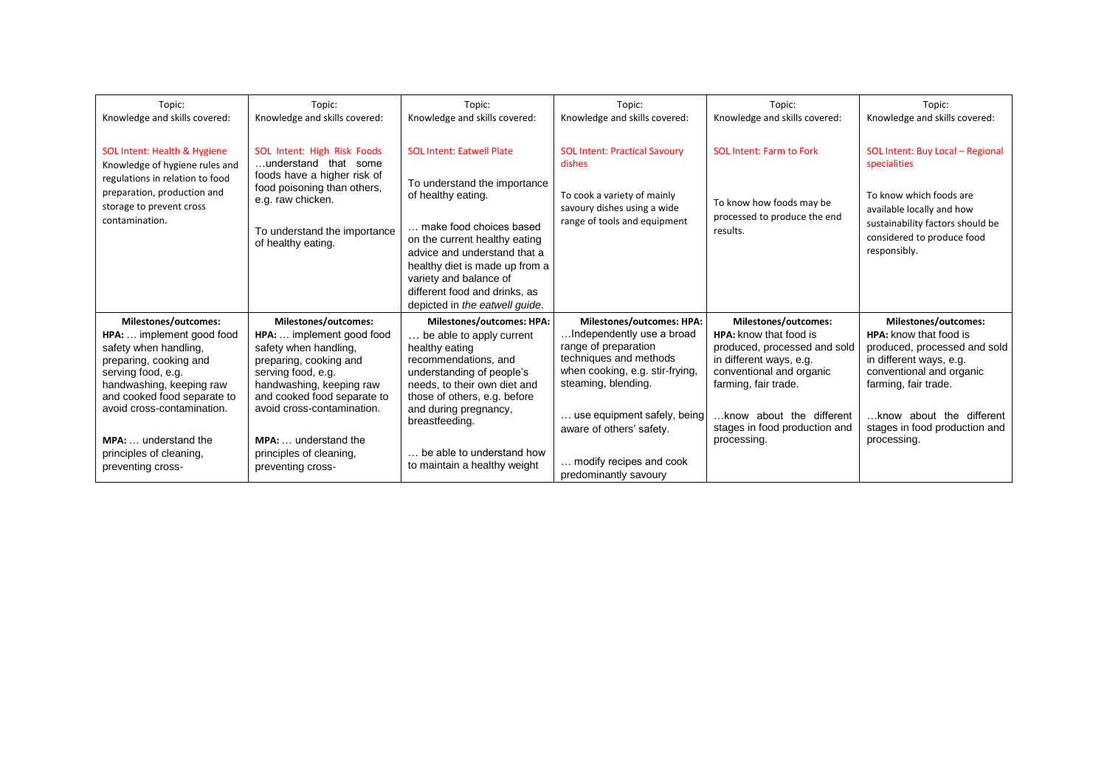| Topic:                                                                                                                                                                                                                                            | Topic:                                                                                                                                                                                                                                            | Topic:                                                                                                                                                                                                                                                                                                            | Topic:                                                                                                                                                                                                                               | Topic:                                                                                                                                                                                                                                     | Topic:                                                                                                                                                                                                                                            |
|---------------------------------------------------------------------------------------------------------------------------------------------------------------------------------------------------------------------------------------------------|---------------------------------------------------------------------------------------------------------------------------------------------------------------------------------------------------------------------------------------------------|-------------------------------------------------------------------------------------------------------------------------------------------------------------------------------------------------------------------------------------------------------------------------------------------------------------------|--------------------------------------------------------------------------------------------------------------------------------------------------------------------------------------------------------------------------------------|--------------------------------------------------------------------------------------------------------------------------------------------------------------------------------------------------------------------------------------------|---------------------------------------------------------------------------------------------------------------------------------------------------------------------------------------------------------------------------------------------------|
| Knowledge and skills covered:                                                                                                                                                                                                                     | Knowledge and skills covered:                                                                                                                                                                                                                     | Knowledge and skills covered:                                                                                                                                                                                                                                                                                     | Knowledge and skills covered:                                                                                                                                                                                                        | Knowledge and skills covered:                                                                                                                                                                                                              | Knowledge and skills covered:                                                                                                                                                                                                                     |
| SOL Intent: Health & Hygiene<br>Knowledge of hygiene rules and<br>regulations in relation to food<br>preparation, production and<br>storage to prevent cross<br>contamination.                                                                    | SOL Intent: High Risk Foods<br>understand that some<br>foods have a higher risk of<br>food poisoning than others,<br>e.g. raw chicken.<br>To understand the importance<br>of healthy eating.                                                      | <b>SOL Intent: Eatwell Plate</b><br>To understand the importance<br>of healthy eating.<br>make food choices based<br>on the current healthy eating<br>advice and understand that a<br>healthy diet is made up from a<br>variety and balance of<br>different food and drinks, as<br>depicted in the eatwell guide. | <b>SOL Intent: Practical Savoury</b><br>dishes<br>To cook a variety of mainly<br>savoury dishes using a wide<br>range of tools and equipment                                                                                         | <b>SOL Intent: Farm to Fork</b><br>To know how foods may be<br>processed to produce the end<br>results.                                                                                                                                    | SOL Intent: Buy Local - Regional<br>specialities<br>To know which foods are<br>available locally and how<br>sustainability factors should be<br>considered to produce food<br>responsibly.                                                        |
| Milestones/outcomes:<br>HPA:  implement good food<br>safety when handling,<br>preparing, cooking and<br>serving food, e.g.<br>handwashing, keeping raw<br>and cooked food separate to<br>avoid cross-contamination.<br><b>MPA:</b> understand the | Milestones/outcomes:<br>HPA:  implement good food<br>safety when handling,<br>preparing, cooking and<br>serving food, e.g.<br>handwashing, keeping raw<br>and cooked food separate to<br>avoid cross-contamination.<br><b>MPA:</b> understand the | <b>Milestones/outcomes: HPA:</b><br>be able to apply current<br>healthy eating<br>recommendations, and<br>understanding of people's<br>needs, to their own diet and<br>those of others, e.g. before<br>and during pregnancy,<br>breastfeeding.                                                                    | <b>Milestones/outcomes: HPA:</b><br>Independently use a broad<br>range of preparation<br>techniques and methods<br>when cooking, e.g. stir-frying,<br>steaming, blending.<br>use equipment safely, being<br>aware of others' safety. | Milestones/outcomes:<br>HPA: know that food is<br>produced, processed and sold<br>in different ways, e.g.<br>conventional and organic<br>farming, fair trade.<br>.know about the different<br>stages in food production and<br>processing. | <b>Milestones/outcomes:</b><br>HPA: know that food is<br>produced, processed and sold<br>in different ways, e.g.<br>conventional and organic<br>farming, fair trade.<br>know about the different.<br>stages in food production and<br>processing. |
| principles of cleaning,<br>preventing cross-                                                                                                                                                                                                      | principles of cleaning,<br>preventing cross-                                                                                                                                                                                                      | be able to understand how<br>to maintain a healthy weight                                                                                                                                                                                                                                                         | modify recipes and cook<br>predominantly savoury                                                                                                                                                                                     |                                                                                                                                                                                                                                            |                                                                                                                                                                                                                                                   |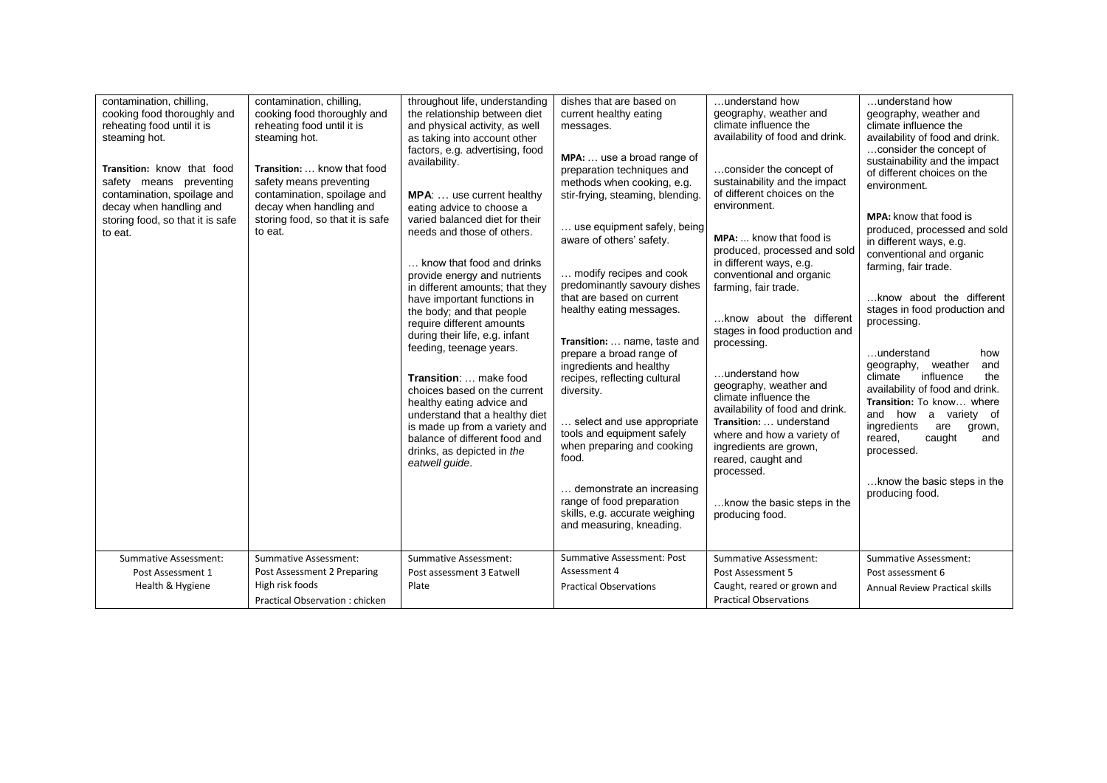| contamination, chilling,<br>cooking food thoroughly and<br>reheating food until it is<br>steaming hot.<br>Transition: know that food<br>safety means preventing<br>contamination, spoilage and<br>decay when handling and<br>storing food, so that it is safe<br>to eat.<br><b>Summative Assessment:</b> | contamination, chilling,<br>cooking food thoroughly and<br>reheating food until it is<br>steaming hot.<br>Transition:  know that food<br>safety means preventing<br>contamination, spoilage and<br>decay when handling and<br>storing food, so that it is safe<br>to eat.<br><b>Summative Assessment:</b> | throughout life, understanding<br>the relationship between diet<br>and physical activity, as well<br>as taking into account other<br>factors, e.g. advertising, food<br>availability.<br><b>MPA:</b> use current healthy<br>eating advice to choose a<br>varied balanced diet for their<br>needs and those of others.<br>know that food and drinks<br>provide energy and nutrients<br>in different amounts; that they<br>have important functions in<br>the body; and that people<br>require different amounts<br>during their life, e.g. infant<br>feeding, teenage years.<br>Transition:  make food<br>choices based on the current<br>healthy eating advice and<br>understand that a healthy diet<br>is made up from a variety and<br>balance of different food and<br>drinks, as depicted in the<br>eatwell guide.<br><b>Summative Assessment:</b> | dishes that are based on<br>current healthy eating<br>messages.<br>MPA:  use a broad range of<br>preparation techniques and<br>methods when cooking, e.g.<br>stir-frying, steaming, blending.<br>use equipment safely, being<br>aware of others' safety.<br>modify recipes and cook<br>predominantly savoury dishes<br>that are based on current<br>healthy eating messages.<br>Transition:  name, taste and<br>prepare a broad range of<br>ingredients and healthy<br>recipes, reflecting cultural<br>diversity.<br>select and use appropriate<br>tools and equipment safely<br>when preparing and cooking<br>food.<br>demonstrate an increasing<br>range of food preparation<br>skills, e.g. accurate weighing<br>and measuring, kneading.<br>Summative Assessment: Post | understand how<br>geography, weather and<br>climate influence the<br>availability of food and drink.<br>consider the concept of<br>sustainability and the impact<br>of different choices on the<br>environment.<br><b>MPA:</b> know that food is<br>produced, processed and sold<br>in different ways, e.g.<br>conventional and organic<br>farming, fair trade.<br>know about the different<br>stages in food production and<br>processing.<br>understand how<br>geography, weather and<br>climate influence the<br>availability of food and drink.<br>Transition:  understand<br>where and how a variety of<br>ingredients are grown,<br>reared, caught and<br>processed.<br>know the basic steps in the<br>producing food.<br><b>Summative Assessment:</b> | understand how<br>geography, weather and<br>climate influence the<br>availability of food and drink.<br>consider the concept of<br>sustainability and the impact<br>of different choices on the<br>environment.<br><b>MPA:</b> know that food is<br>produced, processed and sold<br>in different ways, e.g.<br>conventional and organic<br>farming, fair trade.<br>know about the different<br>stages in food production and<br>processing.<br>understand<br>how<br>geography,<br>weather<br>and<br>climate<br>influence<br>the<br>availability of food and drink.<br>Transition: To know where<br>and how<br>a variety of<br>ingredients<br>are<br>grown,<br>reared,<br>caught<br>and<br>processed.<br>know the basic steps in the<br>producing food.<br><b>Summative Assessment:</b> |
|----------------------------------------------------------------------------------------------------------------------------------------------------------------------------------------------------------------------------------------------------------------------------------------------------------|-----------------------------------------------------------------------------------------------------------------------------------------------------------------------------------------------------------------------------------------------------------------------------------------------------------|--------------------------------------------------------------------------------------------------------------------------------------------------------------------------------------------------------------------------------------------------------------------------------------------------------------------------------------------------------------------------------------------------------------------------------------------------------------------------------------------------------------------------------------------------------------------------------------------------------------------------------------------------------------------------------------------------------------------------------------------------------------------------------------------------------------------------------------------------------|----------------------------------------------------------------------------------------------------------------------------------------------------------------------------------------------------------------------------------------------------------------------------------------------------------------------------------------------------------------------------------------------------------------------------------------------------------------------------------------------------------------------------------------------------------------------------------------------------------------------------------------------------------------------------------------------------------------------------------------------------------------------------|--------------------------------------------------------------------------------------------------------------------------------------------------------------------------------------------------------------------------------------------------------------------------------------------------------------------------------------------------------------------------------------------------------------------------------------------------------------------------------------------------------------------------------------------------------------------------------------------------------------------------------------------------------------------------------------------------------------------------------------------------------------|----------------------------------------------------------------------------------------------------------------------------------------------------------------------------------------------------------------------------------------------------------------------------------------------------------------------------------------------------------------------------------------------------------------------------------------------------------------------------------------------------------------------------------------------------------------------------------------------------------------------------------------------------------------------------------------------------------------------------------------------------------------------------------------|
| Post Assessment 1                                                                                                                                                                                                                                                                                        | Post Assessment 2 Preparing                                                                                                                                                                                                                                                                               | Post assessment 3 Eatwell                                                                                                                                                                                                                                                                                                                                                                                                                                                                                                                                                                                                                                                                                                                                                                                                                              | Assessment 4                                                                                                                                                                                                                                                                                                                                                                                                                                                                                                                                                                                                                                                                                                                                                               | Post Assessment 5                                                                                                                                                                                                                                                                                                                                                                                                                                                                                                                                                                                                                                                                                                                                            | Post assessment 6                                                                                                                                                                                                                                                                                                                                                                                                                                                                                                                                                                                                                                                                                                                                                                      |
| Health & Hygiene                                                                                                                                                                                                                                                                                         | High risk foods                                                                                                                                                                                                                                                                                           | Plate                                                                                                                                                                                                                                                                                                                                                                                                                                                                                                                                                                                                                                                                                                                                                                                                                                                  | <b>Practical Observations</b>                                                                                                                                                                                                                                                                                                                                                                                                                                                                                                                                                                                                                                                                                                                                              | Caught, reared or grown and                                                                                                                                                                                                                                                                                                                                                                                                                                                                                                                                                                                                                                                                                                                                  | Annual Review Practical skills                                                                                                                                                                                                                                                                                                                                                                                                                                                                                                                                                                                                                                                                                                                                                         |
|                                                                                                                                                                                                                                                                                                          | Practical Observation: chicken                                                                                                                                                                                                                                                                            |                                                                                                                                                                                                                                                                                                                                                                                                                                                                                                                                                                                                                                                                                                                                                                                                                                                        |                                                                                                                                                                                                                                                                                                                                                                                                                                                                                                                                                                                                                                                                                                                                                                            | <b>Practical Observations</b>                                                                                                                                                                                                                                                                                                                                                                                                                                                                                                                                                                                                                                                                                                                                |                                                                                                                                                                                                                                                                                                                                                                                                                                                                                                                                                                                                                                                                                                                                                                                        |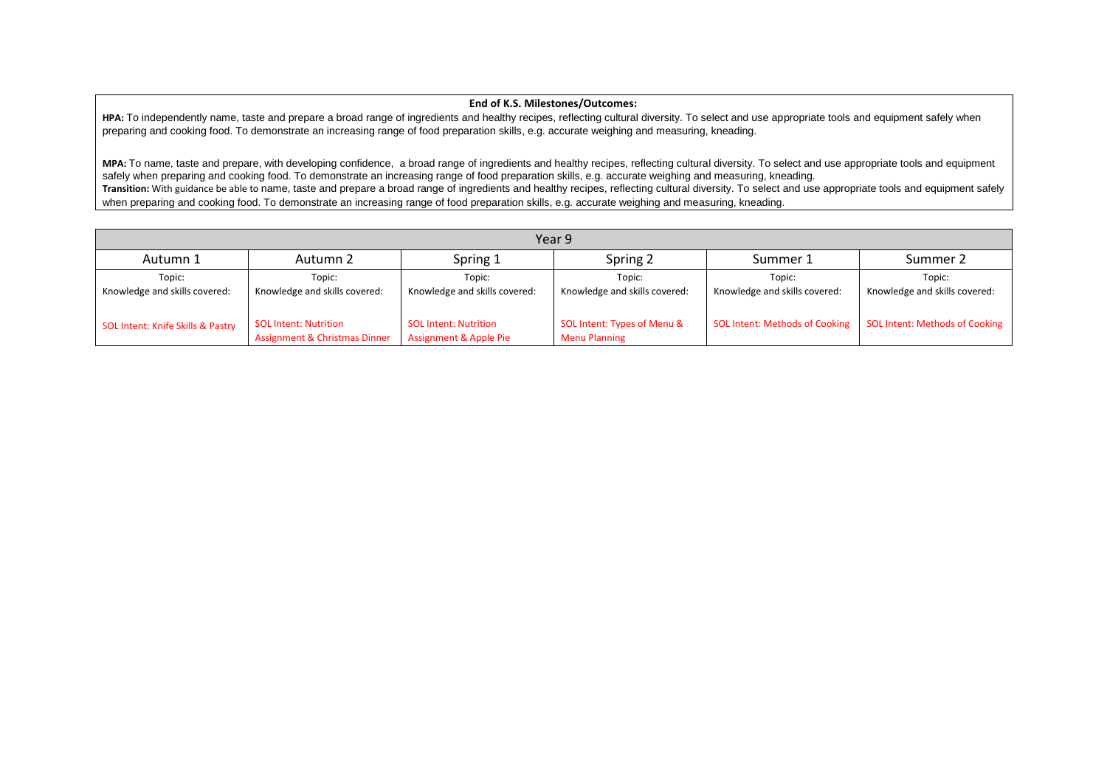## **End of K.S. Milestones/Outcomes:**

**HPA:** To independently name, taste and prepare a broad range of ingredients and healthy recipes, reflecting cultural diversity. To select and use appropriate tools and equipment safely when preparing and cooking food. To demonstrate an increasing range of food preparation skills, e.g. accurate weighing and measuring, kneading.

**MPA:** To name, taste and prepare, with developing confidence, a broad range of ingredients and healthy recipes, reflecting cultural diversity. To select and use appropriate tools and equipment safely when preparing and cooking food. To demonstrate an increasing range of food preparation skills, e.g. accurate weighing and measuring, kneading. Transition: With guidance be able to name, taste and prepare a broad range of ingredients and healthy recipes, reflecting cultural diversity. To select and use appropriate tools and equipment safely when preparing and cooking food. To demonstrate an increasing range of food preparation skills, e.g. accurate weighing and measuring, kneading.

| Year 9                                  |                                                                          |                                                                   |                                                     |                                         |                                         |  |  |  |
|-----------------------------------------|--------------------------------------------------------------------------|-------------------------------------------------------------------|-----------------------------------------------------|-----------------------------------------|-----------------------------------------|--|--|--|
| Autumn 1                                | Autumn 2                                                                 | Spring 1                                                          | Spring 2                                            | Summer 1                                | Summer 2                                |  |  |  |
| Topic:<br>Knowledge and skills covered: | Topic:<br>Knowledge and skills covered:                                  | Topic:<br>Knowledge and skills covered:                           | Topic:<br>Knowledge and skills covered:             | Topic:<br>Knowledge and skills covered: | Topic:<br>Knowledge and skills covered: |  |  |  |
| SOL Intent: Knife Skills & Pastry       | <b>SOL Intent: Nutrition</b><br><b>Assignment &amp; Christmas Dinner</b> | <b>SOL Intent: Nutrition</b><br><b>Assignment &amp; Apple Pie</b> | SOL Intent: Types of Menu &<br><b>Menu Planning</b> | <b>SOL Intent: Methods of Cooking</b>   | SOL Intent: Methods of Cooking          |  |  |  |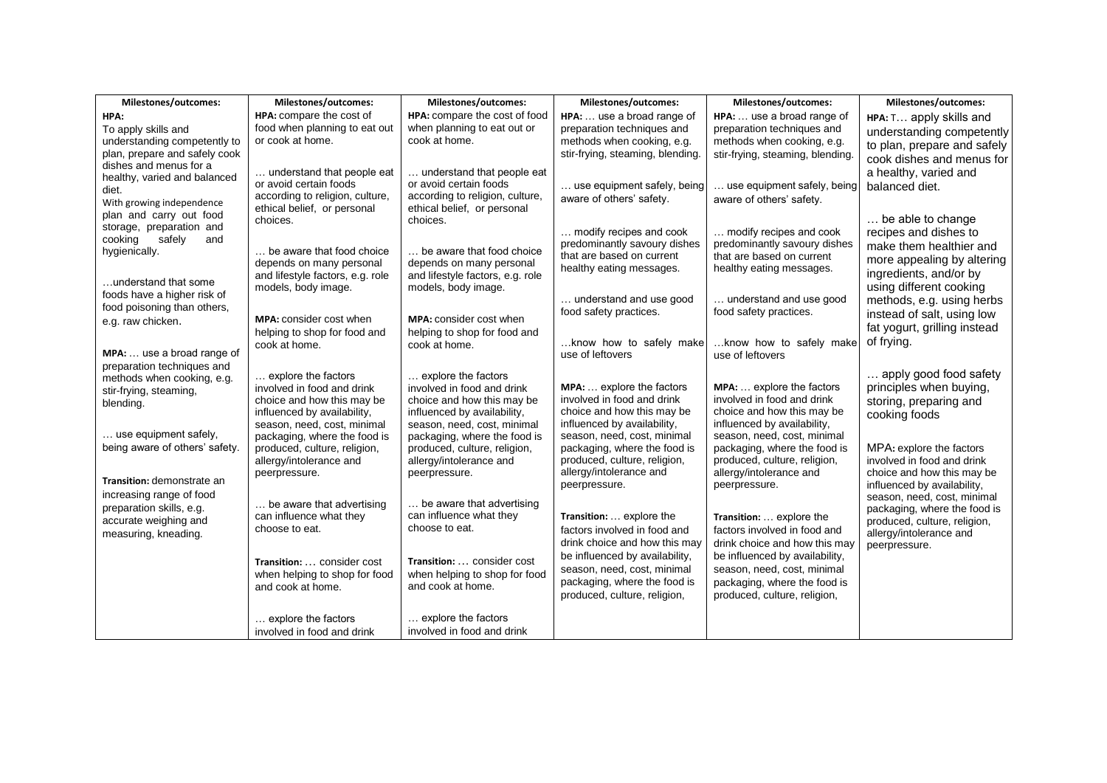| Milestones/outcomes:                                    | Milestones/outcomes:                                         | Milestones/outcomes:                                         | Milestones/outcomes:             | Milestones/outcomes:             | Milestones/outcomes:                                       |
|---------------------------------------------------------|--------------------------------------------------------------|--------------------------------------------------------------|----------------------------------|----------------------------------|------------------------------------------------------------|
| HPA:                                                    | HPA: compare the cost of                                     | HPA: compare the cost of food                                | HPA:  use a broad range of       | HPA:  use a broad range of       | HPA: T apply skills and                                    |
| To apply skills and                                     | food when planning to eat out                                | when planning to eat out or                                  | preparation techniques and       | preparation techniques and       | understanding competently                                  |
| understanding competently to                            | or cook at home.                                             | cook at home.                                                | methods when cooking, e.g.       | methods when cooking, e.g.       | to plan, prepare and safely                                |
| plan, prepare and safely cook<br>dishes and menus for a |                                                              |                                                              | stir-frying, steaming, blending. | stir-frying, steaming, blending. | cook dishes and menus for                                  |
| healthy, varied and balanced                            | understand that people eat                                   | understand that people eat                                   |                                  |                                  | a healthy, varied and                                      |
| diet.                                                   | or avoid certain foods                                       | or avoid certain foods                                       | use equipment safely, being      | use equipment safely, being      | balanced diet.                                             |
| With growing independence                               | according to religion, culture,                              | according to religion, culture,                              | aware of others' safety.         | aware of others' safety.         |                                                            |
| plan and carry out food                                 | ethical belief, or personal<br>choices.                      | ethical belief, or personal<br>choices.                      |                                  |                                  | be able to change                                          |
| storage, preparation and                                |                                                              |                                                              | modify recipes and cook          | modify recipes and cook          | recipes and dishes to                                      |
| safely<br>cooking<br>and                                |                                                              |                                                              | predominantly savoury dishes     | predominantly savoury dishes     | make them healthier and                                    |
| hygienically.                                           | be aware that food choice                                    | be aware that food choice                                    | that are based on current        | that are based on current        | more appealing by altering                                 |
|                                                         | depends on many personal<br>and lifestyle factors, e.g. role | depends on many personal<br>and lifestyle factors, e.g. role | healthy eating messages.         | healthy eating messages.         | ingredients, and/or by                                     |
| understand that some                                    | models, body image.                                          | models, body image.                                          |                                  |                                  | using different cooking                                    |
| foods have a higher risk of                             |                                                              |                                                              | understand and use good          | understand and use good          | methods, e.g. using herbs                                  |
| food poisoning than others,                             |                                                              |                                                              | food safety practices.           | food safety practices.           | instead of salt, using low                                 |
| e.g. raw chicken.                                       | MPA: consider cost when<br>helping to shop for food and      | <b>MPA:</b> consider cost when                               |                                  |                                  | fat yogurt, grilling instead                               |
|                                                         | cook at home.                                                | helping to shop for food and<br>cook at home.                | know how to safely make          | know how to safely make          | of frying.                                                 |
| MPA:  use a broad range of                              |                                                              |                                                              | use of leftovers                 | use of leftovers                 |                                                            |
| preparation techniques and                              |                                                              |                                                              |                                  |                                  |                                                            |
| methods when cooking, e.g.                              | explore the factors                                          | explore the factors                                          | MPA:  explore the factors        | MPA:  explore the factors        | apply good food safety                                     |
| stir-frying, steaming,                                  | involved in food and drink<br>choice and how this may be     | involved in food and drink<br>choice and how this may be     | involved in food and drink       | involved in food and drink       | principles when buying,                                    |
| blending.                                               | influenced by availability,                                  | influenced by availability,                                  | choice and how this may be       | choice and how this may be       | storing, preparing and<br>cooking foods                    |
|                                                         | season, need, cost, minimal                                  | season, need, cost, minimal                                  | influenced by availability,      | influenced by availability,      |                                                            |
| use equipment safely,                                   | packaging, where the food is                                 | packaging, where the food is                                 | season, need, cost, minimal      | season, need, cost, minimal      |                                                            |
| being aware of others' safety.                          | produced, culture, religion,                                 | produced, culture, religion,                                 | packaging, where the food is     | packaging, where the food is     | MPA: explore the factors                                   |
|                                                         | allergy/intolerance and                                      | allergy/intolerance and                                      | produced, culture, religion,     | produced, culture, religion,     | involved in food and drink                                 |
| Transition: demonstrate an                              | peerpressure.                                                | peerpressure.                                                | allergy/intolerance and          | allergy/intolerance and          | choice and how this may be                                 |
| increasing range of food                                |                                                              |                                                              | peerpressure.                    | peerpressure.                    | influenced by availability,<br>season, need, cost, minimal |
| preparation skills, e.g.                                | be aware that advertising                                    | be aware that advertising                                    |                                  |                                  | packaging, where the food is                               |
| accurate weighing and                                   | can influence what they                                      | can influence what they                                      | Transition:  explore the         | Transition:  explore the         | produced, culture, religion,                               |
| measuring, kneading.                                    | choose to eat.                                               | choose to eat.                                               | factors involved in food and     | factors involved in food and     | allergy/intolerance and                                    |
|                                                         |                                                              |                                                              | drink choice and how this may    | drink choice and how this may    | peerpressure.                                              |
|                                                         | Transition:  consider cost                                   | Transition:  consider cost                                   | be influenced by availability,   | be influenced by availability,   |                                                            |
|                                                         | when helping to shop for food                                | when helping to shop for food                                | season, need, cost, minimal      | season, need, cost, minimal      |                                                            |
|                                                         | and cook at home.                                            | and cook at home.                                            | packaging, where the food is     | packaging, where the food is     |                                                            |
|                                                         |                                                              |                                                              | produced, culture, religion,     | produced, culture, religion,     |                                                            |
|                                                         | explore the factors                                          | explore the factors                                          |                                  |                                  |                                                            |
|                                                         | involved in food and drink                                   | involved in food and drink                                   |                                  |                                  |                                                            |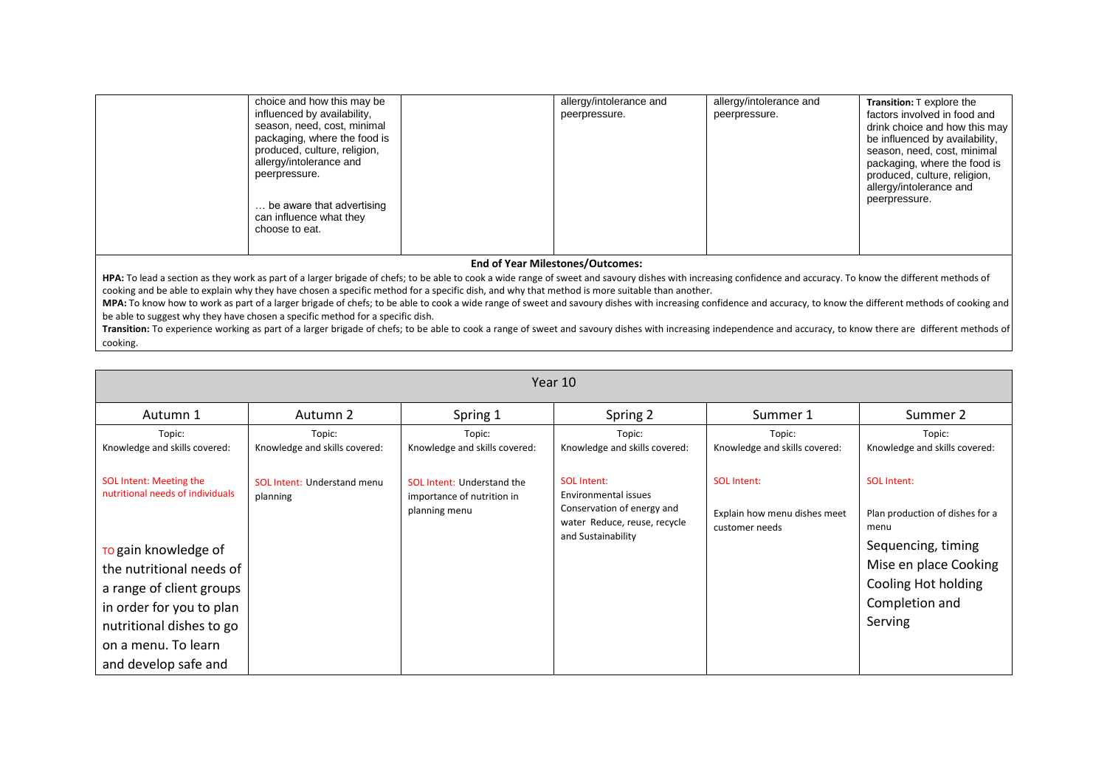|                                         | choice and how this may be<br>influenced by availability,<br>season, need, cost, minimal<br>packaging, where the food is<br>produced, culture, religion,<br>allergy/intolerance and<br>peerpressure.<br>be aware that advertising<br>can influence what they<br>choose to eat. |  | allergy/intolerance and<br>peerpressure. | allergy/intolerance and<br>peerpressure. | Transition: T explore the<br>factors involved in food and<br>drink choice and how this may<br>be influenced by availability,<br>season, need, cost, minimal<br>packaging, where the food is<br>produced, culture, religion,<br>allergy/intolerance and<br>peerpressure. |  |  |
|-----------------------------------------|--------------------------------------------------------------------------------------------------------------------------------------------------------------------------------------------------------------------------------------------------------------------------------|--|------------------------------------------|------------------------------------------|-------------------------------------------------------------------------------------------------------------------------------------------------------------------------------------------------------------------------------------------------------------------------|--|--|
| <b>End of Year Milestones/Outcomes:</b> |                                                                                                                                                                                                                                                                                |  |                                          |                                          |                                                                                                                                                                                                                                                                         |  |  |

**HPA:** To lead a section as they work as part of a larger brigade of chefs; to be able to cook a wide range of sweet and savoury dishes with increasing confidence and accuracy. To know the different methods of cooking and be able to explain why they have chosen a specific method for a specific dish, and why that method is more suitable than another.

**MPA:** To know how to work as part of a larger brigade of chefs; to be able to cook a wide range of sweet and savoury dishes with increasing confidence and accuracy, to know the different methods of cooking and be able to suggest why they have chosen a specific method for a specific dish.

**Transition:** To experience working as part of a larger brigade of chefs; to be able to cook a range of sweet and savoury dishes with increasing independence and accuracy, to know there are different methods of cooking.

| Year 10                                                                                                                                                                                                                                            |                                                |                                                                                  |                                                                                                                                |                                                                      |                                                                                                                                                                  |  |  |  |  |
|----------------------------------------------------------------------------------------------------------------------------------------------------------------------------------------------------------------------------------------------------|------------------------------------------------|----------------------------------------------------------------------------------|--------------------------------------------------------------------------------------------------------------------------------|----------------------------------------------------------------------|------------------------------------------------------------------------------------------------------------------------------------------------------------------|--|--|--|--|
| Autumn 1                                                                                                                                                                                                                                           | Autumn 2                                       | Spring 1                                                                         | Spring 2                                                                                                                       | Summer 1                                                             | Summer 2                                                                                                                                                         |  |  |  |  |
| Topic:<br>Knowledge and skills covered:                                                                                                                                                                                                            | Topic:<br>Knowledge and skills covered:        | Topic:<br>Knowledge and skills covered:                                          | Topic:<br>Knowledge and skills covered:                                                                                        | Topic:<br>Knowledge and skills covered:                              | Topic:<br>Knowledge and skills covered:                                                                                                                          |  |  |  |  |
| SOL Intent: Meeting the<br>nutritional needs of individuals<br>To gain knowledge of<br>the nutritional needs of<br>a range of client groups<br>in order for you to plan<br>nutritional dishes to go<br>on a menu. To learn<br>and develop safe and | <b>SOL Intent: Understand menu</b><br>planning | <b>SOL Intent: Understand the</b><br>importance of nutrition in<br>planning menu | <b>SOL Intent:</b><br>Environmental issues<br>Conservation of energy and<br>water Reduce, reuse, recycle<br>and Sustainability | <b>SOL Intent:</b><br>Explain how menu dishes meet<br>customer needs | <b>SOL Intent:</b><br>Plan production of dishes for a<br>menu<br>Sequencing, timing<br>Mise en place Cooking<br>Cooling Hot holding<br>Completion and<br>Serving |  |  |  |  |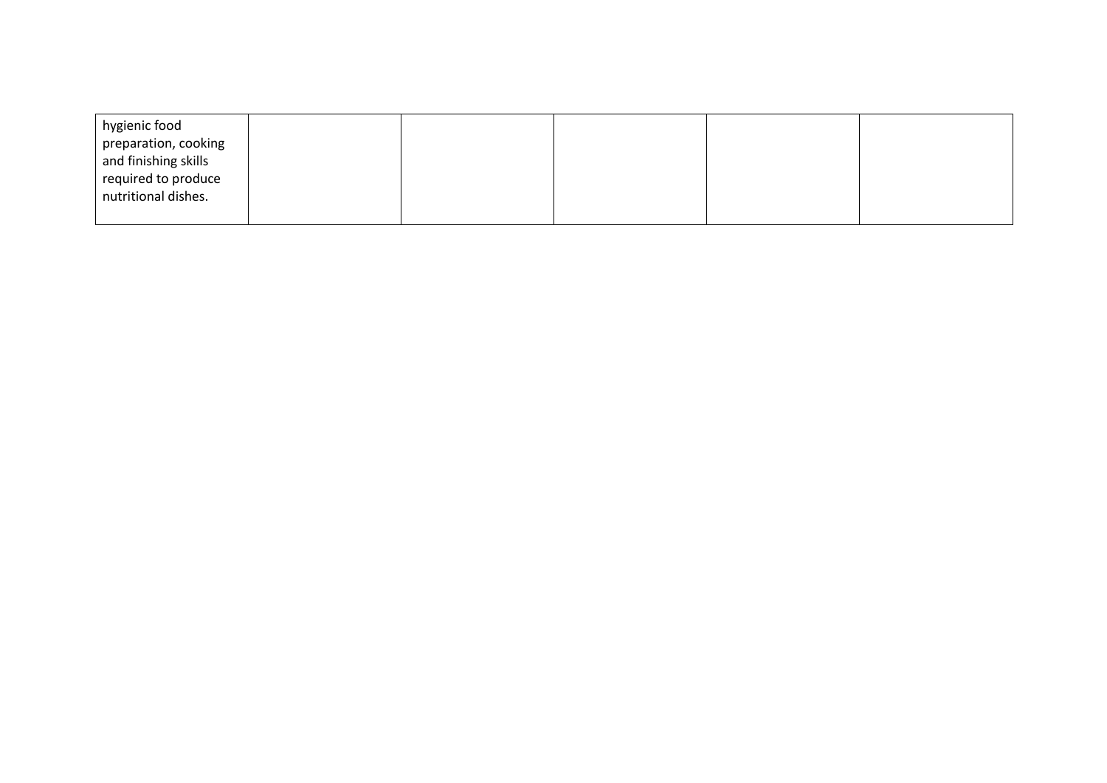| hygienic food<br>preparation, cooking<br>and finishing skills<br>required to produce<br>nutritional dishes. |  |  |  |
|-------------------------------------------------------------------------------------------------------------|--|--|--|
|                                                                                                             |  |  |  |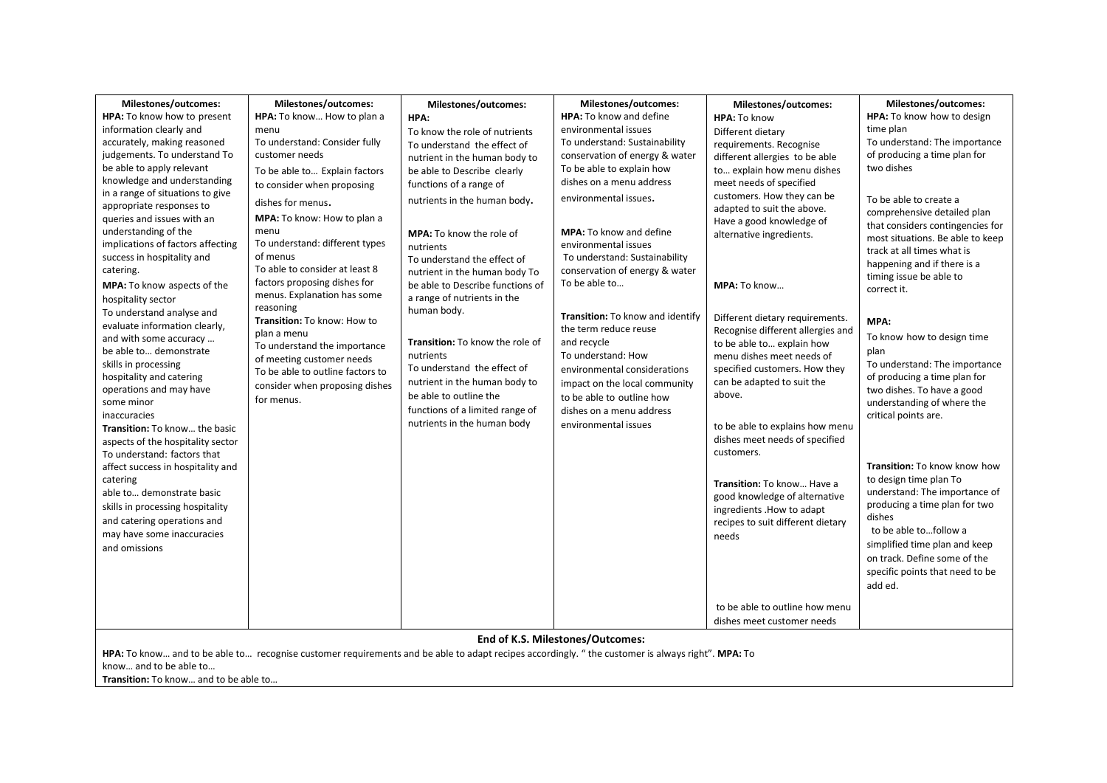| Milestones/outcomes:                               | Milestones/outcomes:                                                                                                                              | Milestones/outcomes:                         | Milestones/outcomes:                                   | Milestones/outcomes:                                       | Milestones/outcomes:             |
|----------------------------------------------------|---------------------------------------------------------------------------------------------------------------------------------------------------|----------------------------------------------|--------------------------------------------------------|------------------------------------------------------------|----------------------------------|
| HPA: To know how to present                        | HPA: To know How to plan a                                                                                                                        | HPA:                                         | HPA: To know and define                                | HPA: To know                                               | HPA: To know how to design       |
| information clearly and                            | menu                                                                                                                                              | To know the role of nutrients                | environmental issues                                   | Different dietary                                          | time plan                        |
| accurately, making reasoned                        | To understand: Consider fully                                                                                                                     | To understand the effect of                  | To understand: Sustainability                          | requirements. Recognise                                    | To understand: The importance    |
| judgements. To understand To                       | customer needs                                                                                                                                    | nutrient in the human body to                | conservation of energy & water                         | different allergies to be able                             | of producing a time plan for     |
| be able to apply relevant                          | To be able to Explain factors                                                                                                                     | be able to Describe clearly                  | To be able to explain how                              | to explain how menu dishes                                 | two dishes                       |
| knowledge and understanding                        | to consider when proposing                                                                                                                        | functions of a range of                      | dishes on a menu address                               | meet needs of specified                                    |                                  |
| in a range of situations to give                   | dishes for menus.                                                                                                                                 | nutrients in the human body.                 | environmental issues.                                  | customers. How they can be                                 | To be able to create a           |
| appropriate responses to                           |                                                                                                                                                   |                                              |                                                        | adapted to suit the above.                                 | comprehensive detailed plan      |
| queries and issues with an<br>understanding of the | MPA: To know: How to plan a<br>menu                                                                                                               |                                              |                                                        | Have a good knowledge of                                   | that considers contingencies for |
| implications of factors affecting                  | To understand: different types                                                                                                                    | <b>MPA:</b> To know the role of              | <b>MPA:</b> To know and define<br>environmental issues | alternative ingredients.                                   | most situations. Be able to keep |
| success in hospitality and                         | of menus                                                                                                                                          | nutrients<br>To understand the effect of     | To understand: Sustainability                          |                                                            | track at all times what is       |
| catering.                                          | To able to consider at least 8                                                                                                                    | nutrient in the human body To                | conservation of energy & water                         |                                                            | happening and if there is a      |
| MPA: To know aspects of the                        | factors proposing dishes for                                                                                                                      | be able to Describe functions of             | To be able to                                          | MPA: To know                                               | timing issue be able to          |
| hospitality sector                                 | menus. Explanation has some                                                                                                                       | a range of nutrients in the                  |                                                        |                                                            | correct it.                      |
| To understand analyse and                          | reasoning                                                                                                                                         | human body.                                  |                                                        |                                                            |                                  |
| evaluate information clearly,                      | Transition: To know: How to                                                                                                                       |                                              | Transition: To know and identify                       | Different dietary requirements.                            | MPA:                             |
| and with some accuracy                             | plan a menu                                                                                                                                       |                                              | the term reduce reuse                                  | Recognise different allergies and                          | To know how to design time       |
| be able to demonstrate                             | To understand the importance                                                                                                                      | Transition: To know the role of<br>nutrients | and recycle<br>To understand: How                      | to be able to explain how                                  | plan                             |
| skills in processing                               | of meeting customer needs                                                                                                                         | To understand the effect of                  | environmental considerations                           | menu dishes meet needs of<br>specified customers. How they | To understand: The importance    |
| hospitality and catering                           | To be able to outline factors to                                                                                                                  | nutrient in the human body to                | impact on the local community                          | can be adapted to suit the                                 | of producing a time plan for     |
| operations and may have                            | consider when proposing dishes                                                                                                                    | be able to outline the                       | to be able to outline how                              | above.                                                     | two dishes. To have a good       |
| some minor                                         | for menus.                                                                                                                                        | functions of a limited range of              | dishes on a menu address                               |                                                            | understanding of where the       |
| inaccuracies                                       |                                                                                                                                                   | nutrients in the human body                  | environmental issues                                   |                                                            | critical points are.             |
| Transition: To know the basic                      |                                                                                                                                                   |                                              |                                                        | to be able to explains how menu                            |                                  |
| aspects of the hospitality sector                  |                                                                                                                                                   |                                              |                                                        | dishes meet needs of specified<br>customers.               |                                  |
| To understand: factors that                        |                                                                                                                                                   |                                              |                                                        |                                                            | Transition: To know know how     |
| affect success in hospitality and<br>catering      |                                                                                                                                                   |                                              |                                                        |                                                            | to design time plan To           |
| able to demonstrate basic                          |                                                                                                                                                   |                                              |                                                        | Transition: To know Have a                                 | understand: The importance of    |
|                                                    |                                                                                                                                                   |                                              |                                                        | good knowledge of alternative                              | producing a time plan for two    |
| skills in processing hospitality                   |                                                                                                                                                   |                                              |                                                        | ingredients . How to adapt                                 | dishes                           |
| and catering operations and                        |                                                                                                                                                   |                                              |                                                        | recipes to suit different dietary                          | to be able tofollow a            |
| may have some inaccuracies                         |                                                                                                                                                   |                                              |                                                        | needs                                                      | simplified time plan and keep    |
| and omissions                                      |                                                                                                                                                   |                                              |                                                        |                                                            | on track. Define some of the     |
|                                                    |                                                                                                                                                   |                                              |                                                        |                                                            | specific points that need to be  |
|                                                    |                                                                                                                                                   |                                              |                                                        |                                                            | add ed.                          |
|                                                    |                                                                                                                                                   |                                              |                                                        |                                                            |                                  |
|                                                    |                                                                                                                                                   |                                              |                                                        | to be able to outline how menu                             |                                  |
|                                                    |                                                                                                                                                   |                                              |                                                        | dishes meet customer needs                                 |                                  |
|                                                    |                                                                                                                                                   |                                              | End of K.S. Milestones/Outcomes:                       |                                                            |                                  |
|                                                    | HPA: To know and to be able to recognise customer requirements and be able to adapt recipes accordingly. " the customer is always right". MPA: To |                                              |                                                        |                                                            |                                  |
| know and to be able to                             |                                                                                                                                                   |                                              |                                                        |                                                            |                                  |
| Transition: To know and to be able to              |                                                                                                                                                   |                                              |                                                        |                                                            |                                  |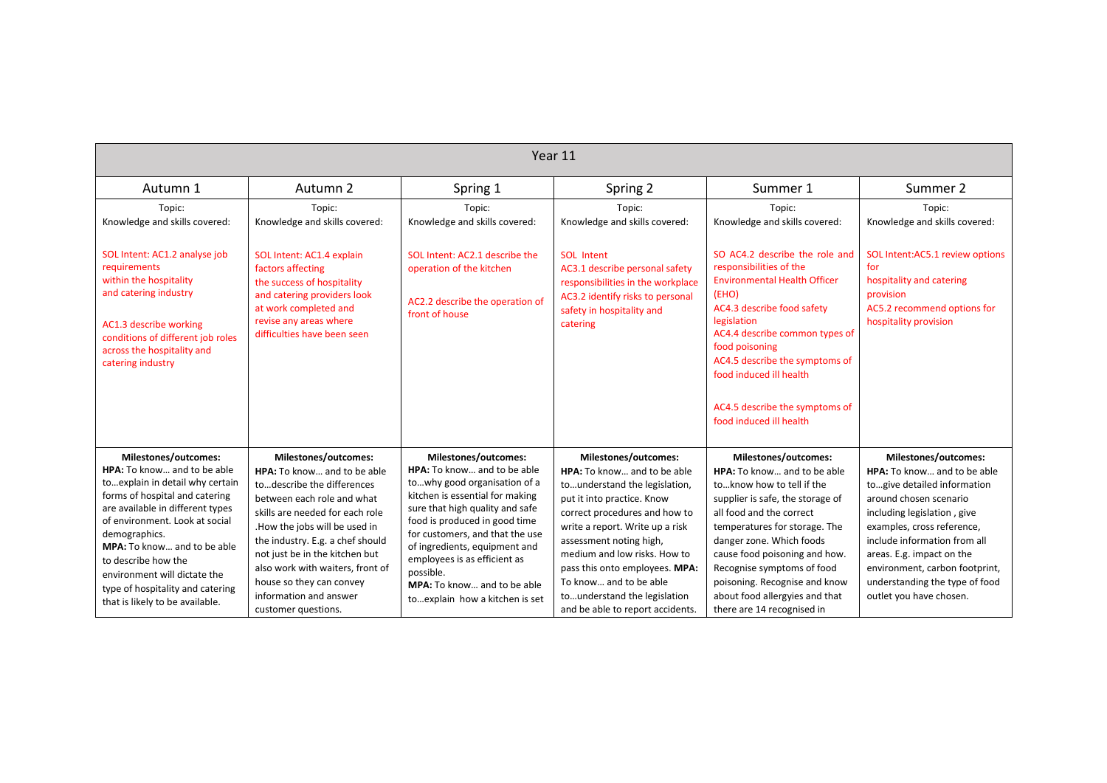| Year 11                                                                                                                                                                                                                                                                                                                                               |                                                                                                                                                                                                                                                                                                                                    |                                                                                                                                                                                                                                                                                                                                                                    |                                                                                                                                                                                                                                                                                                                                                           |                                                                                                                                                                                                                                                                                                                                                              |                                                                                                                                                                                                                                                                                                               |  |  |
|-------------------------------------------------------------------------------------------------------------------------------------------------------------------------------------------------------------------------------------------------------------------------------------------------------------------------------------------------------|------------------------------------------------------------------------------------------------------------------------------------------------------------------------------------------------------------------------------------------------------------------------------------------------------------------------------------|--------------------------------------------------------------------------------------------------------------------------------------------------------------------------------------------------------------------------------------------------------------------------------------------------------------------------------------------------------------------|-----------------------------------------------------------------------------------------------------------------------------------------------------------------------------------------------------------------------------------------------------------------------------------------------------------------------------------------------------------|--------------------------------------------------------------------------------------------------------------------------------------------------------------------------------------------------------------------------------------------------------------------------------------------------------------------------------------------------------------|---------------------------------------------------------------------------------------------------------------------------------------------------------------------------------------------------------------------------------------------------------------------------------------------------------------|--|--|
| Autumn 1                                                                                                                                                                                                                                                                                                                                              | Autumn 2                                                                                                                                                                                                                                                                                                                           | Spring 1                                                                                                                                                                                                                                                                                                                                                           | Spring 2                                                                                                                                                                                                                                                                                                                                                  | Summer 1                                                                                                                                                                                                                                                                                                                                                     | Summer 2                                                                                                                                                                                                                                                                                                      |  |  |
| Topic:<br>Knowledge and skills covered:                                                                                                                                                                                                                                                                                                               | Topic:<br>Knowledge and skills covered:                                                                                                                                                                                                                                                                                            | Topic:<br>Knowledge and skills covered:                                                                                                                                                                                                                                                                                                                            | Topic:<br>Knowledge and skills covered:                                                                                                                                                                                                                                                                                                                   | Topic:<br>Knowledge and skills covered:                                                                                                                                                                                                                                                                                                                      | Topic:<br>Knowledge and skills covered:                                                                                                                                                                                                                                                                       |  |  |
| SOL Intent: AC1.2 analyse job<br>requirements<br>within the hospitality<br>and catering industry<br>AC1.3 describe working<br>conditions of different job roles<br>across the hospitality and<br>catering industry                                                                                                                                    | SOL Intent: AC1.4 explain<br>factors affecting<br>the success of hospitality<br>and catering providers look<br>at work completed and<br>revise any areas where<br>difficulties have been seen                                                                                                                                      | SOL Intent: AC2.1 describe the<br>operation of the kitchen<br>AC2.2 describe the operation of<br>front of house                                                                                                                                                                                                                                                    | <b>SOL</b> Intent<br>AC3.1 describe personal safety<br>responsibilities in the workplace<br>AC3.2 identify risks to personal<br>safety in hospitality and<br>catering                                                                                                                                                                                     | SO AC4.2 describe the role and<br>responsibilities of the<br><b>Environmental Health Officer</b><br>(EHO)<br>AC4.3 describe food safety<br>legislation<br>AC4.4 describe common types of<br>food poisoning<br>AC4.5 describe the symptoms of<br>food induced ill health<br>AC4.5 describe the symptoms of<br>food induced ill health                         | SOL Intent:AC5.1 review options<br>for<br>hospitality and catering<br>provision<br>AC5.2 recommend options for<br>hospitality provision                                                                                                                                                                       |  |  |
| Milestones/outcomes:                                                                                                                                                                                                                                                                                                                                  | Milestones/outcomes:                                                                                                                                                                                                                                                                                                               | Milestones/outcomes:                                                                                                                                                                                                                                                                                                                                               | Milestones/outcomes:                                                                                                                                                                                                                                                                                                                                      | Milestones/outcomes:                                                                                                                                                                                                                                                                                                                                         | Milestones/outcomes:                                                                                                                                                                                                                                                                                          |  |  |
| HPA: To know and to be able<br>to explain in detail why certain<br>forms of hospital and catering<br>are available in different types<br>of environment. Look at social<br>demographics.<br>MPA: To know and to be able<br>to describe how the<br>environment will dictate the<br>type of hospitality and catering<br>that is likely to be available. | <b>HPA:</b> To know and to be able<br>todescribe the differences<br>between each role and what<br>skills are needed for each role<br>.How the jobs will be used in<br>the industry. E.g. a chef should<br>not just be in the kitchen but<br>also work with waiters, front of<br>house so they can convey<br>information and answer | <b>HPA:</b> To know and to be able<br>towhy good organisation of a<br>kitchen is essential for making<br>sure that high quality and safe<br>food is produced in good time<br>for customers, and that the use<br>of ingredients, equipment and<br>employees is as efficient as<br>possible.<br><b>MPA:</b> To know and to be able<br>toexplain how a kitchen is set | HPA: To know and to be able<br>tounderstand the legislation,<br>put it into practice. Know<br>correct procedures and how to<br>write a report. Write up a risk<br>assessment noting high,<br>medium and low risks. How to<br>pass this onto employees. MPA:<br>To know and to be able<br>tounderstand the legislation<br>and be able to report accidents. | <b>HPA:</b> To know and to be able<br>toknow how to tell if the<br>supplier is safe, the storage of<br>all food and the correct<br>temperatures for storage. The<br>danger zone. Which foods<br>cause food poisoning and how.<br>Recognise symptoms of food<br>poisoning. Recognise and know<br>about food allergyies and that<br>there are 14 recognised in | HPA: To know and to be able<br>togive detailed information<br>around chosen scenario<br>including legislation, give<br>examples, cross reference,<br>include information from all<br>areas. E.g. impact on the<br>environment, carbon footprint,<br>understanding the type of food<br>outlet you have chosen. |  |  |